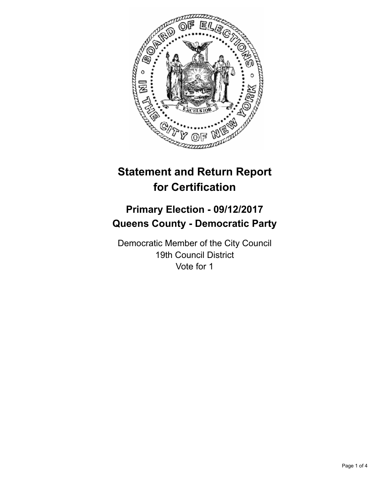

# **Statement and Return Report for Certification**

## **Primary Election - 09/12/2017 Queens County - Democratic Party**

Democratic Member of the City Council 19th Council District Vote for 1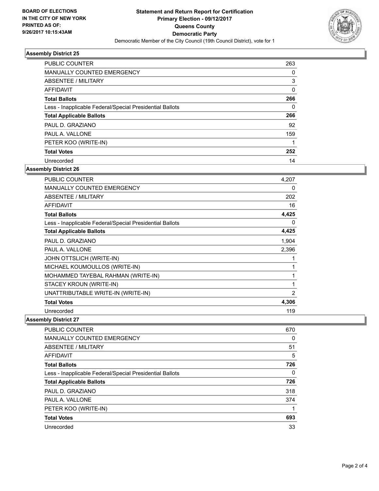

### **Assembly District 25**

| <b>PUBLIC COUNTER</b>                                    | 263      |
|----------------------------------------------------------|----------|
| <b>MANUALLY COUNTED EMERGENCY</b>                        | 0        |
| ABSENTEE / MILITARY                                      | 3        |
| AFFIDAVIT                                                | $\Omega$ |
| <b>Total Ballots</b>                                     | 266      |
| Less - Inapplicable Federal/Special Presidential Ballots | $\Omega$ |
| <b>Total Applicable Ballots</b>                          | 266      |
| PAUL D. GRAZIANO                                         | 92       |
| PAUL A. VALLONE                                          | 159      |
| PETER KOO (WRITE-IN)                                     |          |
| <b>Total Votes</b>                                       | 252      |
| Unrecorded                                               | 14       |

#### **Assembly District 26**

| <b>PUBLIC COUNTER</b>                                    | 4,207          |
|----------------------------------------------------------|----------------|
| <b>MANUALLY COUNTED EMERGENCY</b>                        | 0              |
| ABSENTEE / MILITARY                                      | 202            |
| <b>AFFIDAVIT</b>                                         | 16             |
| <b>Total Ballots</b>                                     | 4,425          |
| Less - Inapplicable Federal/Special Presidential Ballots | 0              |
| <b>Total Applicable Ballots</b>                          | 4,425          |
| PAUL D. GRAZIANO                                         | 1,904          |
| PAUL A. VALLONE                                          | 2,396          |
| JOHN OTTSLICH (WRITE-IN)                                 | 1              |
| MICHAEL KOUMOULLOS (WRITE-IN)                            | 1              |
| MOHAMMED TAYEBAL RAHMAN (WRITE-IN)                       | 1              |
| STACEY KROUN (WRITE-IN)                                  | 1              |
| UNATTRIBUTABLE WRITE-IN (WRITE-IN)                       | $\overline{2}$ |
| <b>Total Votes</b>                                       | 4,306          |
| Unrecorded                                               | 119            |

**Assembly District 27**

| <b>PUBLIC COUNTER</b>                                    | 670 |
|----------------------------------------------------------|-----|
| <b>MANUALLY COUNTED EMERGENCY</b>                        | 0   |
| ABSENTEE / MILITARY                                      | 51  |
| AFFIDAVIT                                                | 5   |
| <b>Total Ballots</b>                                     | 726 |
| Less - Inapplicable Federal/Special Presidential Ballots | 0   |
| <b>Total Applicable Ballots</b>                          | 726 |
| PAUL D. GRAZIANO                                         | 318 |
| PAUL A. VALLONE                                          | 374 |
| PETER KOO (WRITE-IN)                                     |     |
| <b>Total Votes</b>                                       | 693 |
| Unrecorded                                               | 33  |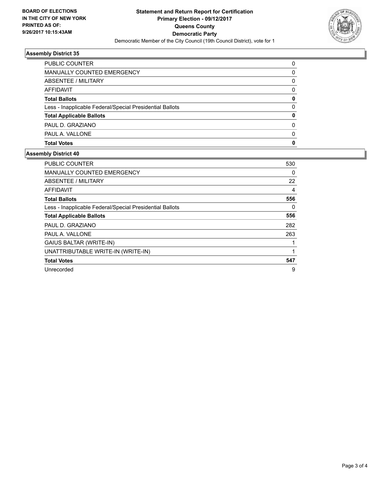

### **Assembly District 35**

| PUBLIC COUNTER                                           | 0        |
|----------------------------------------------------------|----------|
| <b>MANUALLY COUNTED EMERGENCY</b>                        | 0        |
| ABSENTEE / MILITARY                                      | 0        |
| AFFIDAVIT                                                | 0        |
| <b>Total Ballots</b>                                     | 0        |
| Less - Inapplicable Federal/Special Presidential Ballots | $\Omega$ |
| <b>Total Applicable Ballots</b>                          | 0        |
| PAUL D. GRAZIANO                                         | 0        |
| PAUL A. VALLONE                                          | $\Omega$ |
| <b>Total Votes</b>                                       | 0        |
|                                                          |          |

### **Assembly District 40**

| <b>PUBLIC COUNTER</b>                                    | 530 |
|----------------------------------------------------------|-----|
| <b>MANUALLY COUNTED EMERGENCY</b>                        | 0   |
| ABSENTEE / MILITARY                                      | 22  |
| <b>AFFIDAVIT</b>                                         | 4   |
| <b>Total Ballots</b>                                     | 556 |
| Less - Inapplicable Federal/Special Presidential Ballots | 0   |
| <b>Total Applicable Ballots</b>                          | 556 |
| PAUL D. GRAZIANO                                         | 282 |
| PAUL A. VALLONE                                          | 263 |
| <b>GAIUS BALTAR (WRITE-IN)</b>                           |     |
| UNATTRIBUTABLE WRITE-IN (WRITE-IN)                       |     |
| <b>Total Votes</b>                                       | 547 |
| Unrecorded                                               | 9   |